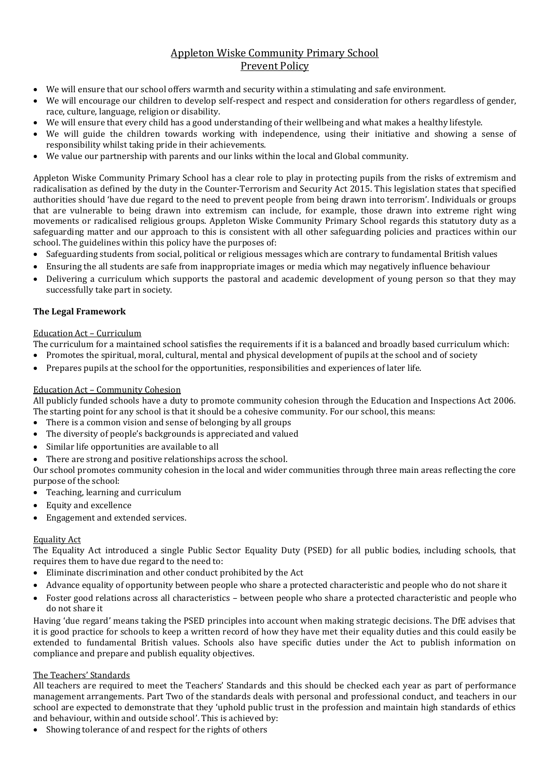# Appleton Wiske Community Primary School Prevent Policy

- We will ensure that our school offers warmth and security within a stimulating and safe environment.
- We will encourage our children to develop self-respect and respect and consideration for others regardless of gender, race, culture, language, religion or disability.
- We will ensure that every child has a good understanding of their wellbeing and what makes a healthy lifestyle.
- We will guide the children towards working with independence, using their initiative and showing a sense of responsibility whilst taking pride in their achievements.
- We value our partnership with parents and our links within the local and Global community.

Appleton Wiske Community Primary School has a clear role to play in protecting pupils from the risks of extremism and radicalisation as defined by the duty in the Counter-Terrorism and Security Act 2015. This legislation states that specified authorities should 'have due regard to the need to prevent people from being drawn into terrorism'. Individuals or groups that are vulnerable to being drawn into extremism can include, for example, those drawn into extreme right wing movements or radicalised religious groups. Appleton Wiske Community Primary School regards this statutory duty as a safeguarding matter and our approach to this is consistent with all other safeguarding policies and practices within our school. The guidelines within this policy have the purposes of:

- Safeguarding students from social, political or religious messages which are contrary to fundamental British values
- Ensuring the all students are safe from inappropriate images or media which may negatively influence behaviour
- Delivering a curriculum which supports the pastoral and academic development of young person so that they may successfully take part in society.

## **The Legal Framework**

#### Education Act – Curriculum

The curriculum for a maintained school satisfies the requirements if it is a balanced and broadly based curriculum which:

- Promotes the spiritual, moral, cultural, mental and physical development of pupils at the school and of society
- Prepares pupils at the school for the opportunities, responsibilities and experiences of later life.

### Education Act – Community Cohesion

All publicly funded schools have a duty to promote community cohesion through the Education and Inspections Act 2006. The starting point for any school is that it should be a cohesive community. For our school, this means:

- There is a common vision and sense of belonging by all groups
- The diversity of people's backgrounds is appreciated and valued
- Similar life opportunities are available to all
- There are strong and positive relationships across the school.

Our school promotes community cohesion in the local and wider communities through three main areas reflecting the core purpose of the school:

- Teaching, learning and curriculum
- Equity and excellence
- Engagement and extended services.

#### Equality Act

The Equality Act introduced a single Public Sector Equality Duty (PSED) for all public bodies, including schools, that requires them to have due regard to the need to:

- Eliminate discrimination and other conduct prohibited by the Act
- Advance equality of opportunity between people who share a protected characteristic and people who do not share it
- Foster good relations across all characteristics between people who share a protected characteristic and people who do not share it

Having 'due regard' means taking the PSED principles into account when making strategic decisions. The DfE advises that it is good practice for schools to keep a written record of how they have met their equality duties and this could easily be extended to fundamental British values. Schools also have specific duties under the Act to publish information on compliance and prepare and publish equality objectives.

#### The Teachers' Standards

All teachers are required to meet the Teachers' Standards and this should be checked each year as part of performance management arrangements. Part Two of the standards deals with personal and professional conduct, and teachers in our school are expected to demonstrate that they 'uphold public trust in the profession and maintain high standards of ethics and behaviour, within and outside school'. This is achieved by:

Showing tolerance of and respect for the rights of others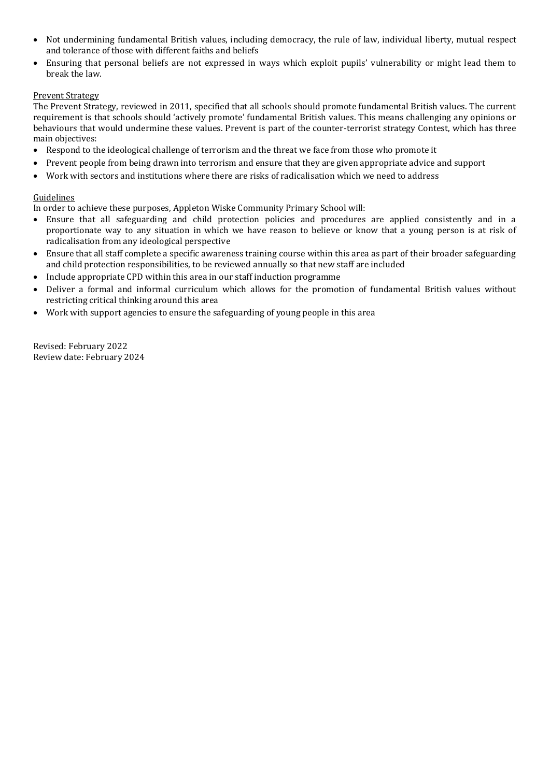- Not undermining fundamental British values, including democracy, the rule of law, individual liberty, mutual respect and tolerance of those with different faiths and beliefs
- Ensuring that personal beliefs are not expressed in ways which exploit pupils' vulnerability or might lead them to break the law.

#### Prevent Strategy

The Prevent Strategy, reviewed in 2011, specified that all schools should promote fundamental British values. The current requirement is that schools should 'actively promote' fundamental British values. This means challenging any opinions or behaviours that would undermine these values. Prevent is part of the counter-terrorist strategy Contest, which has three main objectives:

- Respond to the ideological challenge of terrorism and the threat we face from those who promote it
- Prevent people from being drawn into terrorism and ensure that they are given appropriate advice and support
- Work with sectors and institutions where there are risks of radicalisation which we need to address

#### Guidelines

In order to achieve these purposes, Appleton Wiske Community Primary School will:

- Ensure that all safeguarding and child protection policies and procedures are applied consistently and in a proportionate way to any situation in which we have reason to believe or know that a young person is at risk of radicalisation from any ideological perspective
- Ensure that all staff complete a specific awareness training course within this area as part of their broader safeguarding and child protection responsibilities, to be reviewed annually so that new staff are included
- Include appropriate CPD within this area in our staff induction programme
- Deliver a formal and informal curriculum which allows for the promotion of fundamental British values without restricting critical thinking around this area
- Work with support agencies to ensure the safeguarding of young people in this area

Revised: February 2022 Review date: February 2024